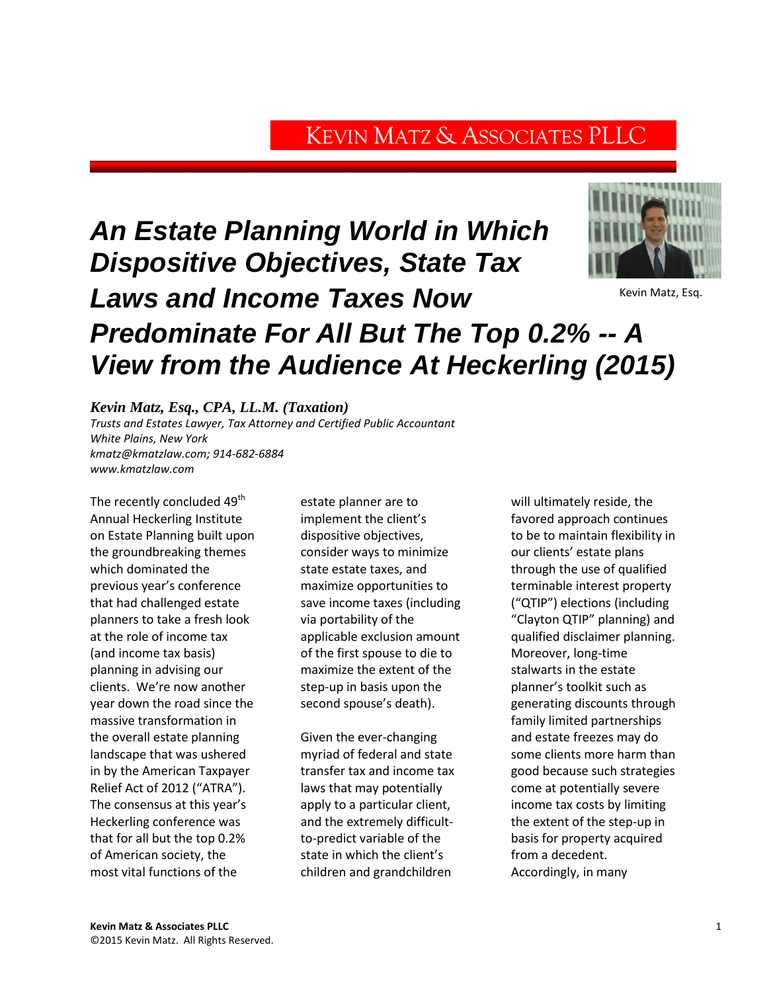# KEVIN MATZ & ASSOCIATES PLLC

# *An Estate Planning World in Which Dispositive Objectives, State Tax Laws and Income Taxes Now Predominate For All But The Top 0.2% -- A View from the Audience At Heckerling (2015)*



Kevin Matz, Esq.

# *Kevin Matz, Esq., CPA, LL.M. (Taxation)*

*Trusts and Estates Lawyer, Tax Attorney and Certified Public Accountant White Plains, New York [kmatz@kmatzlaw.com;](mailto:kmatz@kmatzlaw.com) 914-682-6884 [www.kmatzlaw.com](http://www.kmatzlaw.com/)*

The recently concluded 49 $^{\sf th}$ Annual Heckerling Institute on Estate Planning built upon the groundbreaking themes which dominated the previous year's conference that had challenged estate planners to take a fresh look at the role of income tax (and income tax basis) planning in advising our clients. We're now another year down the road since the massive transformation in the overall estate planning landscape that was ushered in by the American Taxpayer Relief Act of 2012 ("ATRA"). The consensus at this year's Heckerling conference was that for all but the top 0.2% of American society, the most vital functions of the

estate planner are to implement the client's dispositive objectives, consider ways to minimize state estate taxes, and maximize opportunities to save income taxes (including via portability of the applicable exclusion amount of the first spouse to die to maximize the extent of the step-up in basis upon the second spouse's death).

Given the ever-changing myriad of federal and state transfer tax and income tax laws that may potentially apply to a particular client, and the extremely difficultto-predict variable of the state in which the client's children and grandchildren

will ultimately reside, the favored approach continues to be to maintain flexibility in our clients' estate plans through the use of qualified terminable interest property ("QTIP") elections (including "Clayton QTIP" planning) and qualified disclaimer planning. Moreover, long-time stalwarts in the estate planner's toolkit such as generating discounts through family limited partnerships and estate freezes may do some clients more harm than good because such strategies come at potentially severe income tax costs by limiting the extent of the step-up in basis for property acquired from a decedent. Accordingly, in many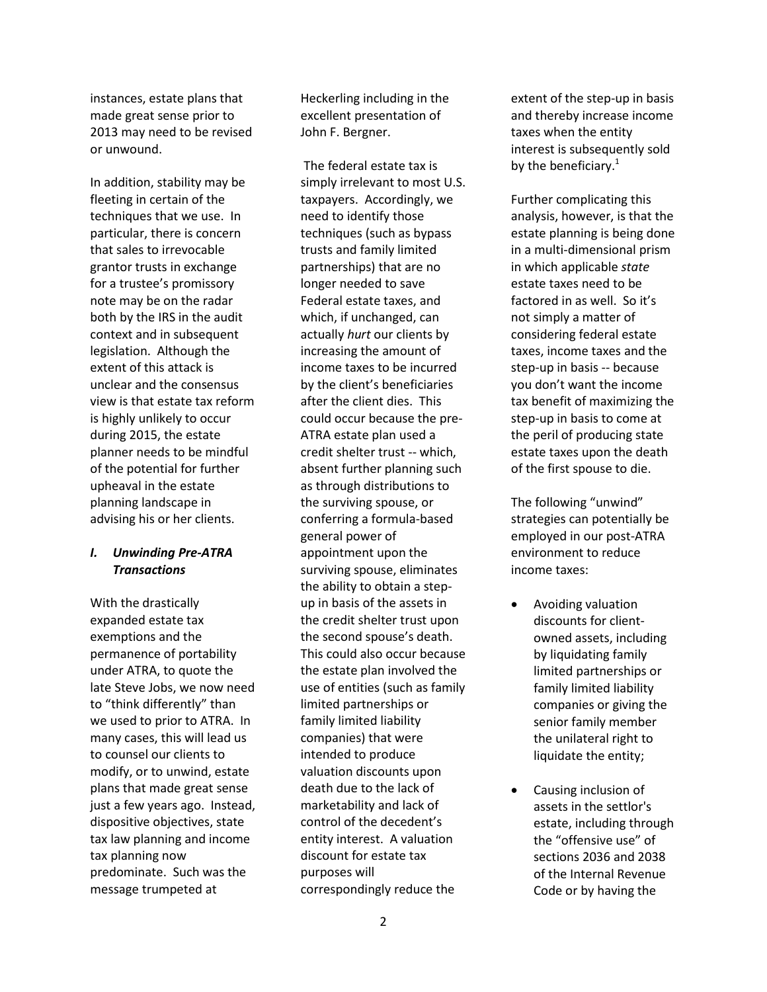instances, estate plans that made great sense prior to 2013 may need to be revised or unwound.

In addition, stability may be fleeting in certain of the techniques that we use. In particular, there is concern that sales to irrevocable grantor trusts in exchange for a trustee's promissory note may be on the radar both by the IRS in the audit context and in subsequent legislation. Although the extent of this attack is unclear and the consensus view is that estate tax reform is highly unlikely to occur during 2015, the estate planner needs to be mindful of the potential for further upheaval in the estate planning landscape in advising his or her clients.

# *I. Unwinding Pre-ATRA Transactions*

With the drastically expanded estate tax exemptions and the permanence of portability under ATRA, to quote the late Steve Jobs, we now need to "think differently" than we used to prior to ATRA. In many cases, this will lead us to counsel our clients to modify, or to unwind, estate plans that made great sense just a few years ago. Instead, dispositive objectives, state tax law planning and income tax planning now predominate. Such was the message trumpeted at

Heckerling including in the excellent presentation of John F. Bergner.

The federal estate tax is simply irrelevant to most U.S. taxpayers. Accordingly, we need to identify those techniques (such as bypass trusts and family limited partnerships) that are no longer needed to save Federal estate taxes, and which, if unchanged, can actually *hurt* our clients by increasing the amount of income taxes to be incurred by the client's beneficiaries after the client dies. This could occur because the pre-ATRA estate plan used a credit shelter trust -- which, absent further planning such as through distributions to the surviving spouse, or conferring a formula-based general power of appointment upon the surviving spouse, eliminates the ability to obtain a stepup in basis of the assets in the credit shelter trust upon the second spouse's death. This could also occur because the estate plan involved the use of entities (such as family limited partnerships or family limited liability companies) that were intended to produce valuation discounts upon death due to the lack of marketability and lack of control of the decedent's entity interest. A valuation discount for estate tax purposes will correspondingly reduce the

extent of the step-up in basis and thereby increase income taxes when the entity interest is subsequently sold by the beneficiary.<sup>1</sup>

Further complicating this analysis, however, is that the estate planning is being done in a multi-dimensional prism in which applicable *state* estate taxes need to be factored in as well. So it's not simply a matter of considering federal estate taxes, income taxes and the step-up in basis -- because you don't want the income tax benefit of maximizing the step-up in basis to come at the peril of producing state estate taxes upon the death of the first spouse to die.

The following "unwind" strategies can potentially be employed in our post-ATRA environment to reduce income taxes:

- Avoiding valuation discounts for clientowned assets, including by liquidating family limited partnerships or family limited liability companies or giving the senior family member the unilateral right to liquidate the entity;
- Causing inclusion of assets in the settlor's estate, including through the "offensive use" of sections 2036 and 2038 of the Internal Revenue Code or by having the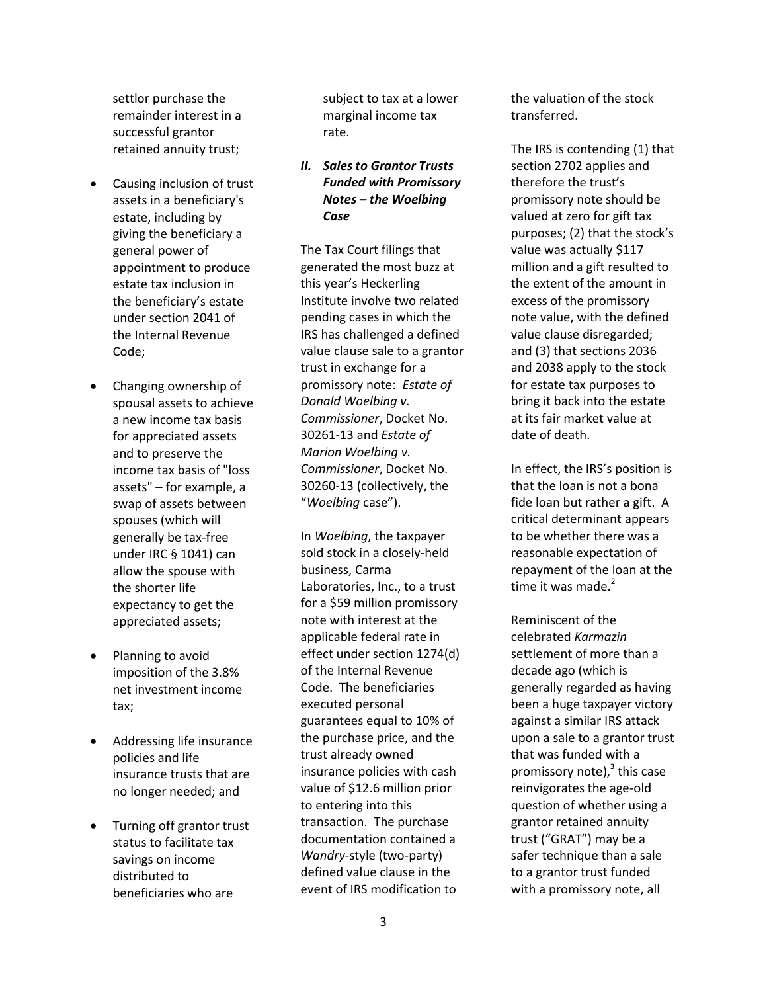settlor purchase the remainder interest in a successful grantor retained annuity trust;

- Causing inclusion of trust assets in a beneficiary's estate, including by giving the beneficiary a general power of appointment to produce estate tax inclusion in the beneficiary's estate under section 2041 of the Internal Revenue Code;
- Changing ownership of spousal assets to achieve a new income tax basis for appreciated assets and to preserve the income tax basis of "loss assets" – for example, a swap of assets between spouses (which will generally be tax-free under IRC § 1041) can allow the spouse with the shorter life expectancy to get the appreciated assets;
- Planning to avoid imposition of the 3.8% net investment income tax;
- Addressing life insurance policies and life insurance trusts that are no longer needed; and
- Turning off grantor trust status to facilitate tax savings on income distributed to beneficiaries who are

subject to tax at a lower marginal income tax rate.

*II. Sales to Grantor Trusts Funded with Promissory Notes – the Woelbing Case*

The Tax Court filings that generated the most buzz at this year's Heckerling Institute involve two related pending cases in which the IRS has challenged a defined value clause sale to a grantor trust in exchange for a promissory note: *Estate of Donald Woelbing v. Commissioner*, Docket No. 30261-13 and *Estate of Marion Woelbing v. Commissioner*, Docket No. 30260-13 (collectively, the "*Woelbing* case").

In *Woelbing*, the taxpayer sold stock in a closely-held business, Carma Laboratories, Inc., to a trust for a \$59 million promissory note with interest at the applicable federal rate in effect under section 1274(d) of the Internal Revenue Code. The beneficiaries executed personal guarantees equal to 10% of the purchase price, and the trust already owned insurance policies with cash value of \$12.6 million prior to entering into this transaction. The purchase documentation contained a *Wandry*-style (two-party) defined value clause in the event of IRS modification to

the valuation of the stock transferred.

The IRS is contending (1) that section 2702 applies and therefore the trust's promissory note should be valued at zero for gift tax purposes; (2) that the stock's value was actually \$117 million and a gift resulted to the extent of the amount in excess of the promissory note value, with the defined value clause disregarded; and (3) that sections 2036 and 2038 apply to the stock for estate tax purposes to bring it back into the estate at its fair market value at date of death.

In effect, the IRS's position is that the loan is not a bona fide loan but rather a gift. A critical determinant appears to be whether there was a reasonable expectation of repayment of the loan at the time it was made. $2$ 

Reminiscent of the celebrated *Karmazin* settlement of more than a decade ago (which is generally regarded as having been a huge taxpayer victory against a similar IRS attack upon a sale to a grantor trust that was funded with a promissory note), $^3$  this case reinvigorates the age-old question of whether using a grantor retained annuity trust ("GRAT") may be a safer technique than a sale to a grantor trust funded with a promissory note, all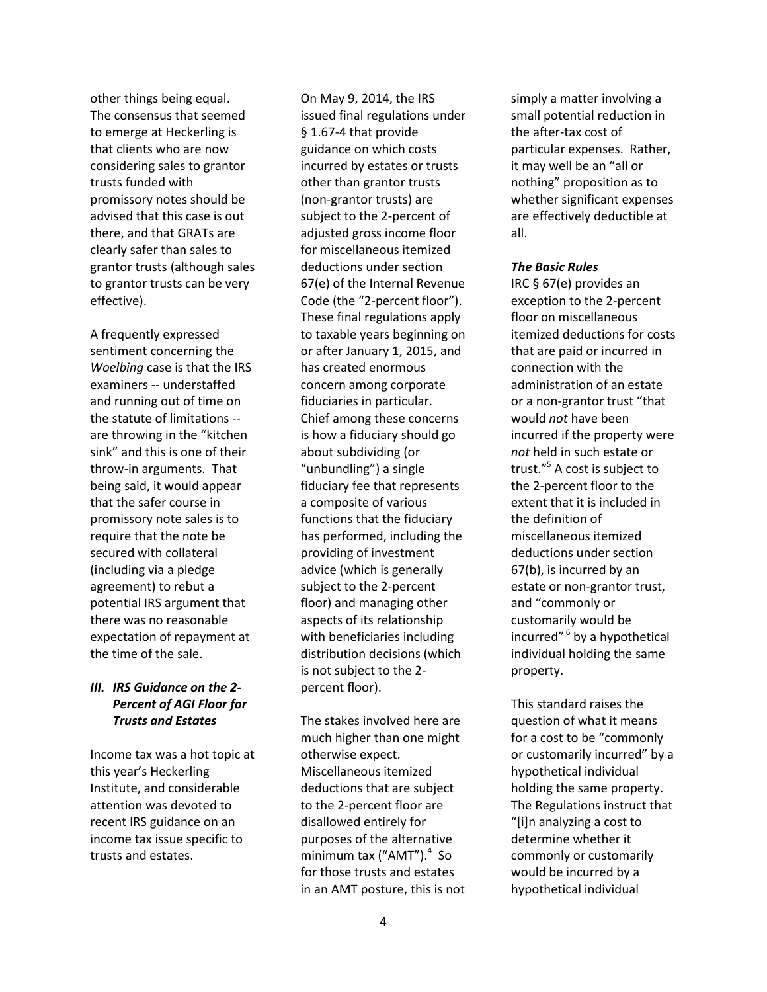other things being equal. The consensus that seemed to emerge at Heckerling is that clients who are now considering sales to grantor trusts funded with promissory notes should be advised that this case is out there, and that GRATs are clearly safer than sales to grantor trusts (although sales to grantor trusts can be very effective).

A frequently expressed sentiment concerning the *Woelbing* case is that the IRS examiners -- understaffed and running out of time on the statute of limitations - are throwing in the "kitchen sink" and this is one of their throw-in arguments. That being said, it would appear that the safer course in promissory note sales is to require that the note be secured with collateral (including via a pledge agreement) to rebut a potential IRS argument that there was no reasonable expectation of repayment at the time of the sale.

# *III. IRS Guidance on the 2- Percent of AGI Floor for Trusts and Estates*

Income tax was a hot topic at this year's Heckerling Institute, and considerable attention was devoted to recent IRS guidance on an income tax issue specific to trusts and estates.

On May 9, 2014, the IRS issued final regulations under § 1.67-4 that provide guidance on which costs incurred by estates or trusts other than grantor trusts (non-grantor trusts) are subject to the 2-percent of adjusted gross income floor for miscellaneous itemized deductions under section 67(e) of the Internal Revenue Code (the "2-percent floor"). These final regulations apply to taxable years beginning on or after January 1, 2015, and has created enormous concern among corporate fiduciaries in particular. Chief among these concerns is how a fiduciary should go about subdividing (or "unbundling") a single fiduciary fee that represents a composite of various functions that the fiduciary has performed, including the providing of investment advice (which is generally subject to the 2-percent floor) and managing other aspects of its relationship with beneficiaries including distribution decisions (which is not subject to the 2 percent floor).

The stakes involved here are much higher than one might otherwise expect. Miscellaneous itemized deductions that are subject to the 2-percent floor are disallowed entirely for purposes of the alternative minimum tax ("AMT").<sup>4</sup> So for those trusts and estates in an AMT posture, this is not simply a matter involving a small potential reduction in the after-tax cost of particular expenses. Rather, it may well be an "all or nothing" proposition as to whether significant expenses are effectively deductible at all.

#### *The Basic Rules*

IRC § 67(e) provides an exception to the 2-percent floor on miscellaneous itemized deductions for costs that are paid or incurred in connection with the administration of an estate or a non-grantor trust "that would *not* have been incurred if the property were *not* held in such estate or trust." 5 A cost is subject to the 2-percent floor to the extent that it is included in the definition of miscellaneous itemized deductions under section 67(b), is incurred by an estate or non-grantor trust, and "commonly or customarily would be incurred" 6 by a hypothetical individual holding the same property.

This standard raises the question of what it means for a cost to be "commonly or customarily incurred" by a hypothetical individual holding the same property. The Regulations instruct that "[i]n analyzing a cost to determine whether it commonly or customarily would be incurred by a hypothetical individual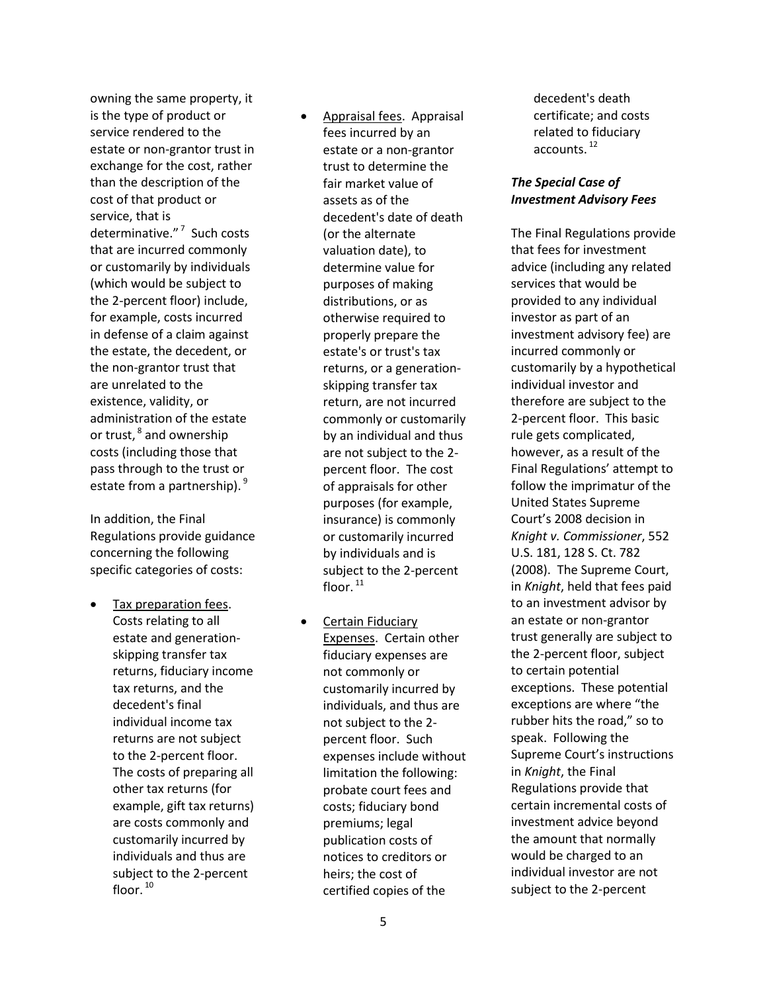owning the same property, it is the type of product or service rendered to the estate or non-grantor trust in exchange for the cost, rather than the description of the cost of that product or service, that is determinative." 7 Such costs that are incurred commonly or customarily by individuals (which would be subject to the 2-percent floor) include, for example, costs incurred in defense of a claim against the estate, the decedent, or the non-grantor trust that are unrelated to the existence, validity, or administration of the estate or trust,  $^8$  and ownership costs (including those that pass through to the trust or estate from a partnership). 9

In addition, the Final Regulations provide guidance concerning the following specific categories of costs:

- Tax preparation fees. Costs relating to all estate and generationskipping transfer tax returns, fiduciary income tax returns, and the decedent's final individual income tax returns are not subject to the 2-percent floor. The costs of preparing all other tax returns (for example, gift tax returns) are costs commonly and customarily incurred by individuals and thus are subject to the 2-percent floor. $10$
- Appraisal fees. Appraisal fees incurred by an estate or a non-grantor trust to determine the fair market value of assets as of the decedent's date of death (or the alternate valuation date), to determine value for purposes of making distributions, or as otherwise required to properly prepare the estate's or trust's tax returns, or a generationskipping transfer tax return, are not incurred commonly or customarily by an individual and thus are not subject to the 2 percent floor. The cost of appraisals for other purposes (for example, insurance) is commonly or customarily incurred by individuals and is subject to the 2-percent floor. 11
- Certain Fiduciary Expenses. Certain other fiduciary expenses are not commonly or customarily incurred by individuals, and thus are not subject to the 2 percent floor. Such expenses include without limitation the following: probate court fees and costs; fiduciary bond premiums; legal publication costs of notices to creditors or heirs; the cost of certified copies of the

decedent's death certificate; and costs related to fiduciary accounts.<sup>12</sup>

# *The Special Case of Investment Advisory Fees*

The Final Regulations provide that fees for investment advice (including any related services that would be provided to any individual investor as part of an investment advisory fee) are incurred commonly or customarily by a hypothetical individual investor and therefore are subject to the 2-percent floor. This basic rule gets complicated, however, as a result of the Final Regulations' attempt to follow the imprimatur of the United States Supreme Court's 2008 decision in *Knight v. Commissioner*, 552 U.S. 181, 128 S. Ct. 782 (2008). The Supreme Court, in *Knight*, held that fees paid to an investment advisor by an estate or non-grantor trust generally are subject to the 2-percent floor, subject to certain potential exceptions. These potential exceptions are where "the rubber hits the road," so to speak. Following the Supreme Court's instructions in *Knight*, the Final Regulations provide that certain incremental costs of investment advice beyond the amount that normally would be charged to an individual investor are not subject to the 2-percent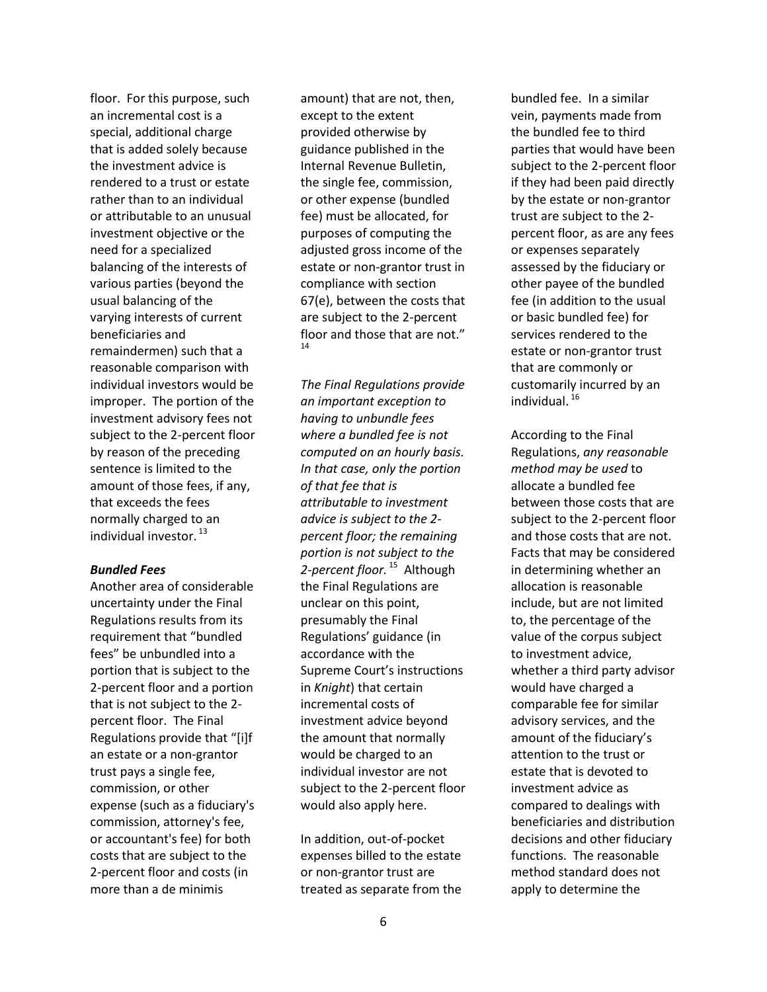floor. For this purpose, such an incremental cost is a special, additional charge that is added solely because the investment advice is rendered to a trust or estate rather than to an individual or attributable to an unusual investment objective or the need for a specialized balancing of the interests of various parties (beyond the usual balancing of the varying interests of current beneficiaries and remaindermen) such that a reasonable comparison with individual investors would be improper. The portion of the investment advisory fees not subject to the 2-percent floor by reason of the preceding sentence is limited to the amount of those fees, if any, that exceeds the fees normally charged to an individual investor.  $^{13}$ 

#### *Bundled Fees*

Another area of considerable uncertainty under the Final Regulations results from its requirement that "bundled fees" be unbundled into a portion that is subject to the 2-percent floor and a portion that is not subject to the 2 percent floor. The Final Regulations provide that "[i]f an estate or a non-grantor trust pays a single fee, commission, or other expense (such as a fiduciary's commission, attorney's fee, or accountant's fee) for both costs that are subject to the 2-percent floor and costs (in more than a de minimis

amount) that are not, then, except to the extent provided otherwise by guidance published in the Internal Revenue Bulletin, the single fee, commission, or other expense (bundled fee) must be allocated, for purposes of computing the adjusted gross income of the estate or non-grantor trust in compliance with section 67(e), between the costs that are subject to the 2-percent floor and those that are not." 14

*The Final Regulations provide an important exception to having to unbundle fees where a bundled fee is not computed on an hourly basis. In that case, only the portion of that fee that is attributable to investment advice is subject to the 2 percent floor; the remaining portion is not subject to the*  2-*percent floor.* <sup>15</sup> Although the Final Regulations are unclear on this point, presumably the Final Regulations' guidance (in accordance with the Supreme Court's instructions in *Knight*) that certain incremental costs of investment advice beyond the amount that normally would be charged to an individual investor are not subject to the 2-percent floor would also apply here.

In addition, out-of-pocket expenses billed to the estate or non-grantor trust are treated as separate from the bundled fee. In a similar vein, payments made from the bundled fee to third parties that would have been subject to the 2-percent floor if they had been paid directly by the estate or non-grantor trust are subject to the 2 percent floor, as are any fees or expenses separately assessed by the fiduciary or other payee of the bundled fee (in addition to the usual or basic bundled fee) for services rendered to the estate or non-grantor trust that are commonly or customarily incurred by an individual. <sup>16</sup>

According to the Final Regulations, *any reasonable method may be used* to allocate a bundled fee between those costs that are subject to the 2-percent floor and those costs that are not. Facts that may be considered in determining whether an allocation is reasonable include, but are not limited to, the percentage of the value of the corpus subject to investment advice, whether a third party advisor would have charged a comparable fee for similar advisory services, and the amount of the fiduciary's attention to the trust or estate that is devoted to investment advice as compared to dealings with beneficiaries and distribution decisions and other fiduciary functions. The reasonable method standard does not apply to determine the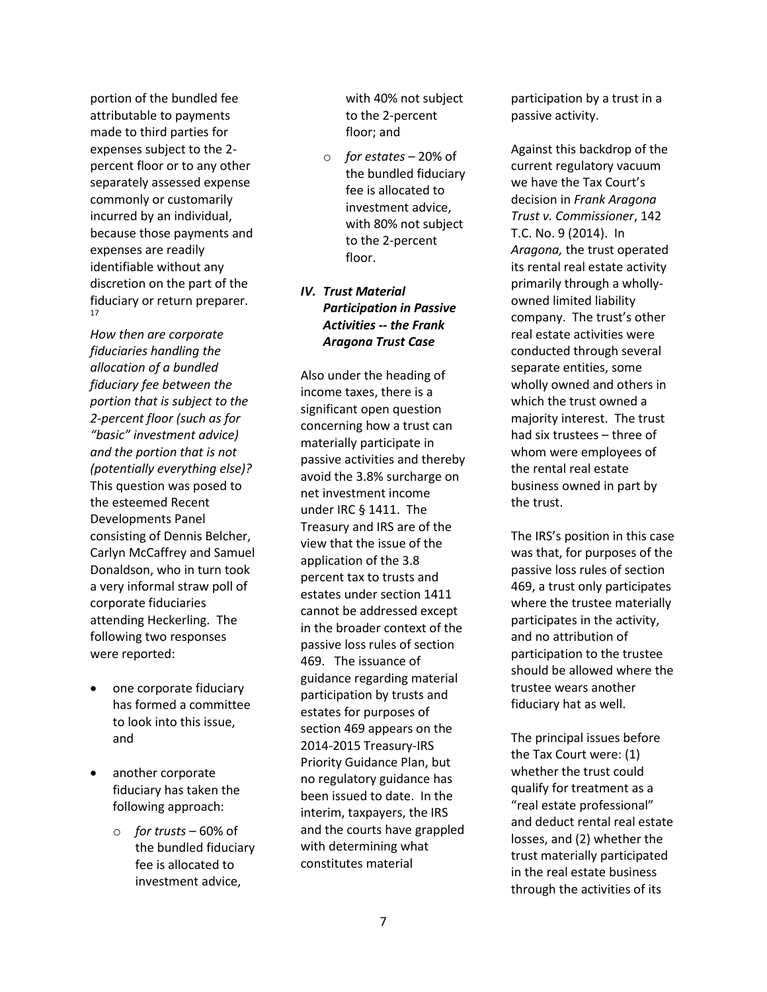portion of the bundled fee attributable to payments made to third parties for expenses subject to the 2 percent floor or to any other separately assessed expense commonly or customarily incurred by an individual, because those payments and expenses are readily identifiable without any discretion on the part of the fiduciary or return preparer. 17

*How then are corporate fiduciaries handling the allocation of a bundled fiduciary fee between the portion that is subject to the 2-percent floor (such as for "basic" investment advice) and the portion that is not (potentially everything else)?* This question was posed to the esteemed Recent Developments Panel consisting of Dennis Belcher, Carlyn McCaffrey and Samuel Donaldson, who in turn took a very informal straw poll of corporate fiduciaries attending Heckerling. The following two responses were reported:

- one corporate fiduciary has formed a committee to look into this issue, and
- another corporate fiduciary has taken the following approach:
	- o *for trusts* 60% of the bundled fiduciary fee is allocated to investment advice,

with 40% not subject to the 2-percent floor; and

o *for estates* – 20% of the bundled fiduciary fee is allocated to investment advice, with 80% not subject to the 2-percent floor.

# *IV. Trust Material Participation in Passive Activities -- the Frank Aragona Trust Case*

Also under the heading of income taxes, there is a significant open question concerning how a trust can materially participate in passive activities and thereby avoid the 3.8% surcharge on net investment income under IRC § 1411. The Treasury and IRS are of the view that the issue of the application of the 3.8 percent tax to trusts and estates under section 1411 cannot be addressed except in the broader context of the passive loss rules of section 469. The issuance of guidance regarding material participation by trusts and estates for purposes of section 469 appears on the 2014-2015 Treasury-IRS Priority Guidance Plan, but no regulatory guidance has been issued to date. In the interim, taxpayers, the IRS and the courts have grappled with determining what constitutes material

participation by a trust in a passive activity.

Against this backdrop of the current regulatory vacuum we have the Tax Court's decision in *Frank Aragona Trust v. Commissioner*, 142 T.C. No. 9 (2014). In *Aragona,* the trust operated its rental real estate activity primarily through a whollyowned limited liability company. The trust's other real estate activities were conducted through several separate entities, some wholly owned and others in which the trust owned a majority interest. The trust had six trustees – three of whom were employees of the rental real estate business owned in part by the trust.

The IRS's position in this case was that, for purposes of the passive loss rules of section 469, a trust only participates where the trustee materially participates in the activity, and no attribution of participation to the trustee should be allowed where the trustee wears another fiduciary hat as well.

The principal issues before the Tax Court were: (1) whether the trust could qualify for treatment as a "real estate professional" and deduct rental real estate losses, and (2) whether the trust materially participated in the real estate business through the activities of its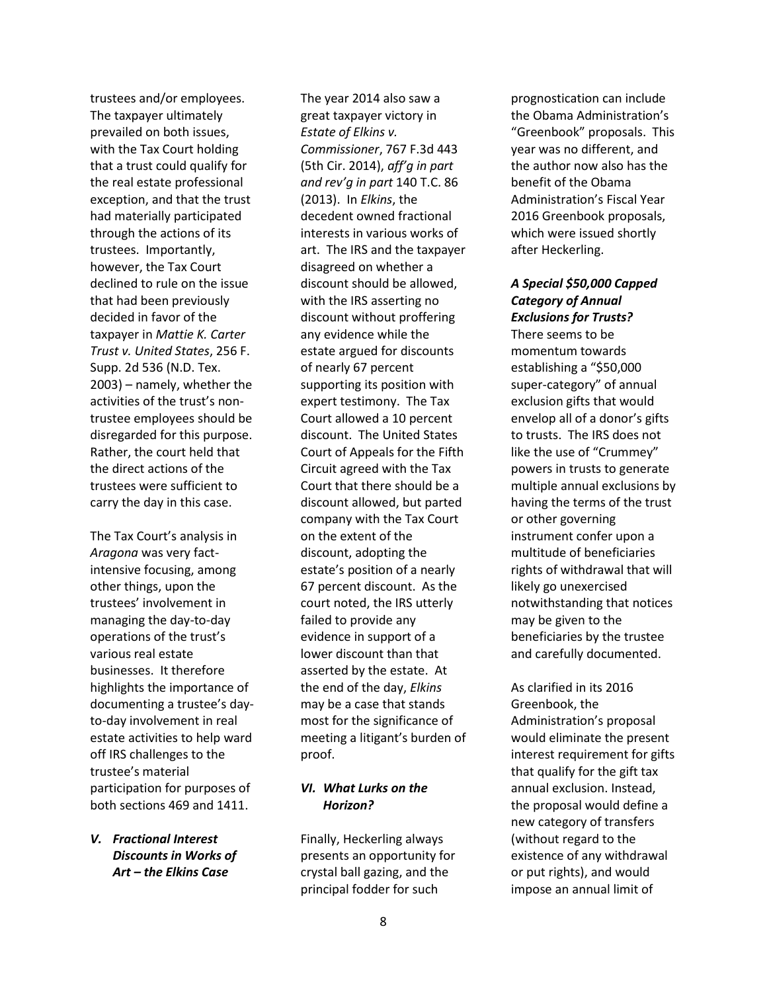trustees and/or employees. The taxpayer ultimately prevailed on both issues, with the Tax Court holding that a trust could qualify for the real estate professional exception, and that the trust had materially participated through the actions of its trustees. Importantly, however, the Tax Court declined to rule on the issue that had been previously decided in favor of the taxpayer in *Mattie K. Carter Trust v. United States*, 256 F. Supp. 2d 536 (N.D. Tex. 2003) – namely, whether the activities of the trust's nontrustee employees should be disregarded for this purpose. Rather, the court held that the direct actions of the trustees were sufficient to carry the day in this case.

The Tax Court's analysis in *Aragona* was very factintensive focusing, among other things, upon the trustees' involvement in managing the day-to-day operations of the trust's various real estate businesses. It therefore highlights the importance of documenting a trustee's dayto-day involvement in real estate activities to help ward off IRS challenges to the trustee's material participation for purposes of both sections 469 and 1411.

# *V. Fractional Interest Discounts in Works of Art – the Elkins Case*

The year 2014 also saw a great taxpayer victory in *Estate of Elkins v. Commissioner*, 767 F.3d 443 (5th Cir. 2014), *aff'g in part and rev'g in part* 140 T.C. 86 (2013). In *Elkins*, the decedent owned fractional interests in various works of art. The IRS and the taxpayer disagreed on whether a discount should be allowed, with the IRS asserting no discount without proffering any evidence while the estate argued for discounts of nearly 67 percent supporting its position with expert testimony. The Tax Court allowed a 10 percent discount. The United States Court of Appeals for the Fifth Circuit agreed with the Tax Court that there should be a discount allowed, but parted company with the Tax Court on the extent of the discount, adopting the estate's position of a nearly 67 percent discount. As the court noted, the IRS utterly failed to provide any evidence in support of a lower discount than that asserted by the estate. At the end of the day, *Elkins* may be a case that stands most for the significance of meeting a litigant's burden of proof.

# *VI. What Lurks on the Horizon?*

Finally, Heckerling always presents an opportunity for crystal ball gazing, and the principal fodder for such

prognostication can include the Obama Administration's "Greenbook" proposals. This year was no different, and the author now also has the benefit of the Obama Administration's Fiscal Year 2016 Greenbook proposals, which were issued shortly after Heckerling.

# *A Special \$50,000 Capped Category of Annual Exclusions for Trusts?*

There seems to be momentum towards establishing a "\$50,000 super-category" of annual exclusion gifts that would envelop all of a donor's gifts to trusts. The IRS does not like the use of "Crummey" powers in trusts to generate multiple annual exclusions by having the terms of the trust or other governing instrument confer upon a multitude of beneficiaries rights of withdrawal that will likely go unexercised notwithstanding that notices may be given to the beneficiaries by the trustee and carefully documented.

As clarified in its 2016 Greenbook, the Administration's proposal would eliminate the present interest requirement for gifts that qualify for the gift tax annual exclusion. Instead, the proposal would define a new category of transfers (without regard to the existence of any withdrawal or put rights), and would impose an annual limit of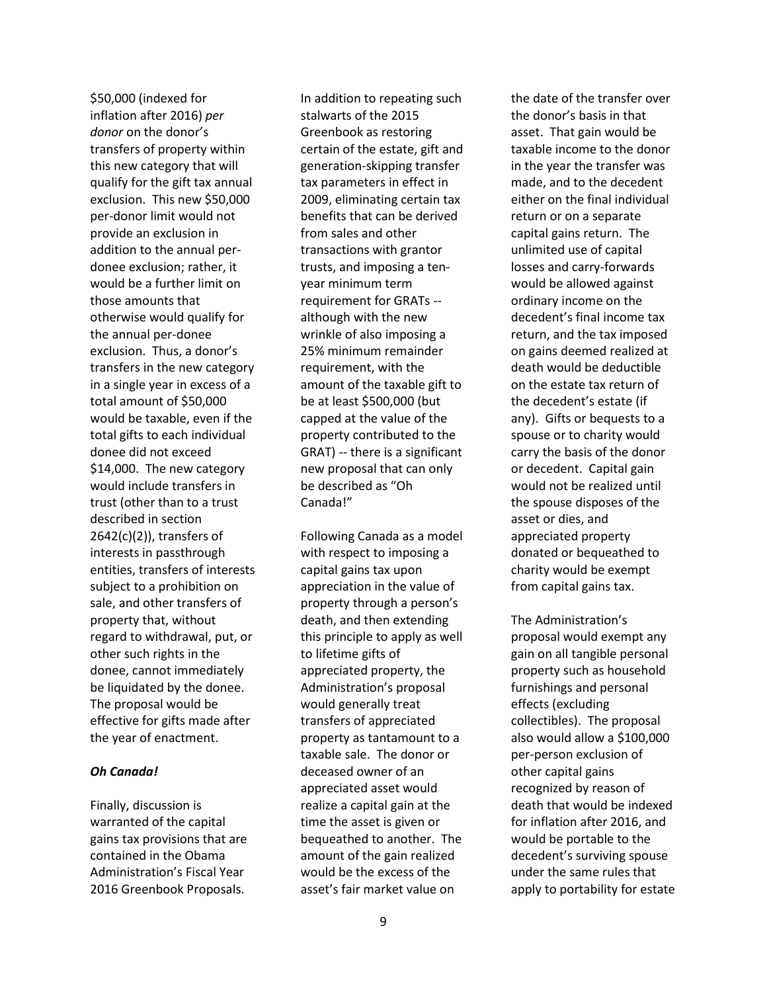\$50,000 (indexed for inflation after 2016) *per donor* on the donor's transfers of property within this new category that will qualify for the gift tax annual exclusion. This new \$50,000 per-donor limit would not provide an exclusion in addition to the annual perdonee exclusion; rather, it would be a further limit on those amounts that otherwise would qualify for the annual per-donee exclusion. Thus, a donor's transfers in the new category in a single year in excess of a total amount of \$50,000 would be taxable, even if the total gifts to each individual donee did not exceed \$14,000. The new category would include transfers in trust (other than to a trust described in section 2642(c)(2)), transfers of interests in passthrough entities, transfers of interests subject to a prohibition on sale, and other transfers of property that, without regard to withdrawal, put, or other such rights in the donee, cannot immediately be liquidated by the donee. The proposal would be effective for gifts made after the year of enactment.

# *Oh Canada!*

Finally, discussion is warranted of the capital gains tax provisions that are contained in the Obama Administration's Fiscal Year 2016 Greenbook Proposals.

In addition to repeating such stalwarts of the 2015 Greenbook as restoring certain of the estate, gift and generation-skipping transfer tax parameters in effect in 2009, eliminating certain tax benefits that can be derived from sales and other transactions with grantor trusts, and imposing a tenyear minimum term requirement for GRATs - although with the new wrinkle of also imposing a 25% minimum remainder requirement, with the amount of the taxable gift to be at least \$500,000 (but capped at the value of the property contributed to the GRAT) -- there is a significant new proposal that can only be described as "Oh Canada!"

Following Canada as a model with respect to imposing a capital gains tax upon appreciation in the value of property through a person's death, and then extending this principle to apply as well to lifetime gifts of appreciated property, the Administration's proposal would generally treat transfers of appreciated property as tantamount to a taxable sale. The donor or deceased owner of an appreciated asset would realize a capital gain at the time the asset is given or bequeathed to another. The amount of the gain realized would be the excess of the asset's fair market value on

the date of the transfer over the donor's basis in that asset. That gain would be taxable income to the donor in the year the transfer was made, and to the decedent either on the final individual return or on a separate capital gains return. The unlimited use of capital losses and carry-forwards would be allowed against ordinary income on the decedent's final income tax return, and the tax imposed on gains deemed realized at death would be deductible on the estate tax return of the decedent's estate (if any). Gifts or bequests to a spouse or to charity would carry the basis of the donor or decedent. Capital gain would not be realized until the spouse disposes of the asset or dies, and appreciated property donated or bequeathed to charity would be exempt from capital gains tax.

The Administration's proposal would exempt any gain on all tangible personal property such as household furnishings and personal effects (excluding collectibles). The proposal also would allow a \$100,000 per-person exclusion of other capital gains recognized by reason of death that would be indexed for inflation after 2016, and would be portable to the decedent's surviving spouse under the same rules that apply to portability for estate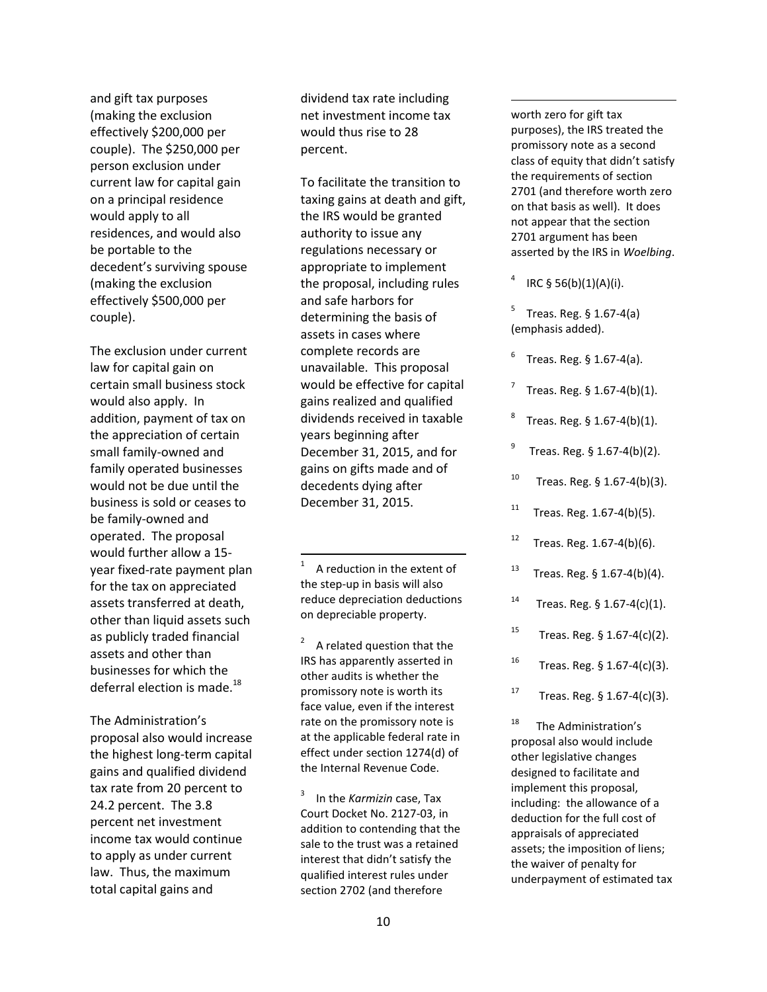and gift tax purposes (making the exclusion effectively \$200,000 per couple). The \$250,000 per person exclusion under current law for capital gain on a principal residence would apply to all residences, and would also be portable to the decedent's surviving spouse (making the exclusion effectively \$500,000 per couple).

The exclusion under current law for capital gain on certain small business stock would also apply. In addition, payment of tax on the appreciation of certain small family-owned and family operated businesses would not be due until the business is sold or ceases to be family-owned and operated. The proposal would further allow a 15 year fixed-rate payment plan for the tax on appreciated assets transferred at death, other than liquid assets such as publicly traded financial assets and other than businesses for which the deferral election is made.<sup>18</sup>

The Administration's proposal also would increase the highest long-term capital gains and qualified dividend tax rate from 20 percent to 24.2 percent. The 3.8 percent net investment income tax would continue to apply as under current law. Thus, the maximum total capital gains and

dividend tax rate including net investment income tax would thus rise to 28 percent.

To facilitate the transition to taxing gains at death and gift, the IRS would be granted authority to issue any regulations necessary or appropriate to implement the proposal, including rules and safe harbors for determining the basis of assets in cases where complete records are unavailable. This proposal would be effective for capital gains realized and qualified dividends received in taxable years beginning after December 31, 2015, and for gains on gifts made and of decedents dying after December 31, 2015.

1 A reduction in the extent of the step-up in basis will also reduce depreciation deductions on depreciable property.

 $\overline{\phantom{a}}$ 

 $2^2$  A related question that the IRS has apparently asserted in other audits is whether the promissory note is worth its face value, even if the interest rate on the promissory note is at the applicable federal rate in effect under section 1274(d) of the Internal Revenue Code.

3 In the *Karmizin* case, Tax Court Docket No. 2127-03, in addition to contending that the sale to the trust was a retained interest that didn't satisfy the qualified interest rules under section 2702 (and therefore

worth zero for gift tax purposes), the IRS treated the promissory note as a second class of equity that didn't satisfy the requirements of section 2701 (and therefore worth zero on that basis as well). It does not appear that the section 2701 argument has been asserted by the IRS in *Woelbing*.

4 IRC § 56(b)(1)(A)(i).

 $\overline{\phantom{a}}$ 

5 Treas. Reg. § 1.67-4(a) (emphasis added).

6 Treas. Reg. § 1.67-4(a).

- 7 Treas. Reg. § 1.67-4(b)(1).
- 8 Treas. Reg. § 1.67-4(b)(1).
- 9 Treas. Reg. § 1.67-4(b)(2).
- <sup>10</sup> Treas. Reg.  $$ 1.67-4(b)(3)$ .
- $11$  Treas. Reg. 1.67-4(b)(5).
- $12$  Treas. Reg. 1.67-4(b)(6).
- <sup>13</sup> Treas. Reg.  $$ 1.67-4(b)(4)$ .
- $14$  Treas. Reg. § 1.67-4(c)(1).
- <sup>15</sup> Treas. Reg.  $§$  1.67-4(c)(2).
- <sup>16</sup> Treas. Reg. § 1.67-4(c)(3).
- <sup>17</sup> Treas. Reg.  $$ 1.67-4(c)(3)$ .

<sup>18</sup> The Administration's proposal also would include other legislative changes designed to facilitate and implement this proposal, including: the allowance of a deduction for the full cost of appraisals of appreciated assets; the imposition of liens; the waiver of penalty for underpayment of estimated tax